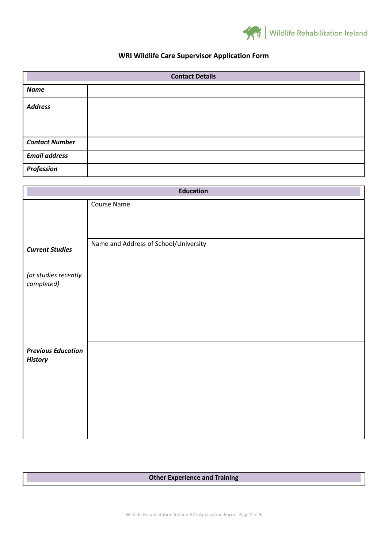

## **WRI Wildlife Care Supervisor Application Form**

| <b>Contact Details</b> |  |
|------------------------|--|
| <b>Name</b>            |  |
| <b>Address</b>         |  |
| <b>Contact Number</b>  |  |
| <b>Email address</b>   |  |
| Profession             |  |

| <b>Education</b>                            |                                       |  |
|---------------------------------------------|---------------------------------------|--|
|                                             | Course Name                           |  |
|                                             |                                       |  |
|                                             |                                       |  |
| <b>Current Studies</b>                      | Name and Address of School/University |  |
| (or studies recently<br>completed)          |                                       |  |
|                                             |                                       |  |
| <b>Previous Education</b><br><b>History</b> |                                       |  |
|                                             |                                       |  |

## **Other Experience and Training**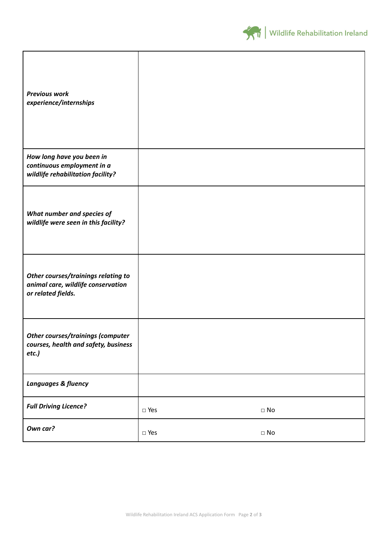

| <b>Previous work</b><br>experience/internships                                                  |               |           |
|-------------------------------------------------------------------------------------------------|---------------|-----------|
| How long have you been in<br>continuous employment in a<br>wildlife rehabilitation facility?    |               |           |
| What number and species of<br>wildlife were seen in this facility?                              |               |           |
| Other courses/trainings relating to<br>animal care, wildlife conservation<br>or related fields. |               |           |
| <b>Other courses/trainings (computer</b><br>courses, health and safety, business<br>etc.)       |               |           |
| <b>Languages &amp; fluency</b>                                                                  |               |           |
| <b>Full Driving Licence?</b>                                                                    | $\square$ Yes | $\Box$ No |
| Own car?                                                                                        | $\square$ Yes | $\Box$ No |